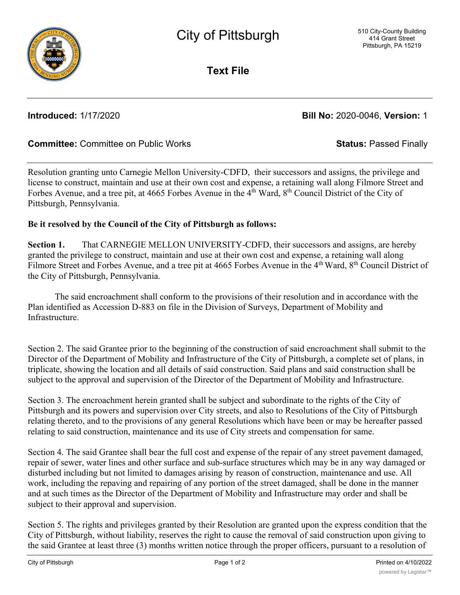

**Text File**

**Introduced:** 1/17/2020 **Bill No:** 2020-0046, **Version:** 1

## **Committee:** Committee on Public Works **Status:** Passed Finally

Resolution granting unto Carnegie Mellon University-CDFD, their successors and assigns, the privilege and license to construct, maintain and use at their own cost and expense, a retaining wall along Filmore Street and Forbes Avenue, and a tree pit, at 4665 Forbes Avenue in the 4<sup>th</sup> Ward, 8<sup>th</sup> Council District of the City of Pittsburgh, Pennsylvania.

## **Be it resolved by the Council of the City of Pittsburgh as follows:**

**Section 1.** That CARNEGIE MELLON UNIVERSITY-CDFD, their successors and assigns, are hereby granted the privilege to construct, maintain and use at their own cost and expense, a retaining wall along Filmore Street and Forbes Avenue, and a tree pit at 4665 Forbes Avenue in the 4<sup>th</sup> Ward, 8<sup>th</sup> Council District of the City of Pittsburgh, Pennsylvania.

The said encroachment shall conform to the provisions of their resolution and in accordance with the Plan identified as Accession D-883 on file in the Division of Surveys, Department of Mobility and Infrastructure.

Section 2. The said Grantee prior to the beginning of the construction of said encroachment shall submit to the Director of the Department of Mobility and Infrastructure of the City of Pittsburgh, a complete set of plans, in triplicate, showing the location and all details of said construction. Said plans and said construction shall be subject to the approval and supervision of the Director of the Department of Mobility and Infrastructure.

Section 3. The encroachment herein granted shall be subject and subordinate to the rights of the City of Pittsburgh and its powers and supervision over City streets, and also to Resolutions of the City of Pittsburgh relating thereto, and to the provisions of any general Resolutions which have been or may be hereafter passed relating to said construction, maintenance and its use of City streets and compensation for same.

Section 4. The said Grantee shall bear the full cost and expense of the repair of any street pavement damaged, repair of sewer, water lines and other surface and sub-surface structures which may be in any way damaged or disturbed including but not limited to damages arising by reason of construction, maintenance and use. All work, including the repaving and repairing of any portion of the street damaged, shall be done in the manner and at such times as the Director of the Department of Mobility and Infrastructure may order and shall be subject to their approval and supervision.

Section 5. The rights and privileges granted by their Resolution are granted upon the express condition that the City of Pittsburgh, without liability, reserves the right to cause the removal of said construction upon giving to the said Grantee at least three (3) months written notice through the proper officers, pursuant to a resolution of